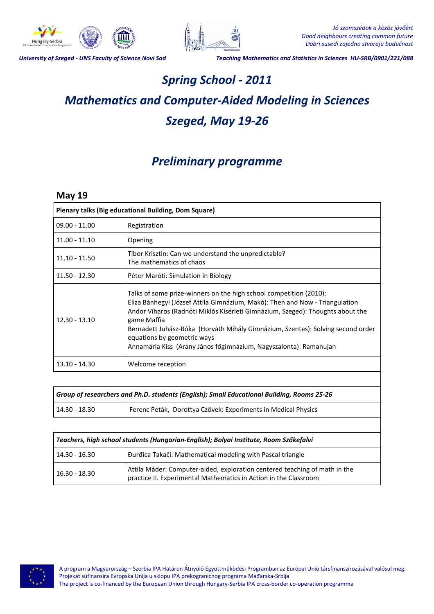



*University of Szeged - UNS Faculty of Science Novi Sad Teaching Mathematics and Statistics in Sciences HU-SRB/0901/221/088*

# *Spring School - 2011 Mathematics and Computer-Aided Modeling in Sciences Szeged, May 19-26*

## *Preliminary programme*

#### **May 19**

| Plenary talks (Big educational Building, Dom Square) |                                                                                                                                                                                                                                                                                                                                                                                                                                            |
|------------------------------------------------------|--------------------------------------------------------------------------------------------------------------------------------------------------------------------------------------------------------------------------------------------------------------------------------------------------------------------------------------------------------------------------------------------------------------------------------------------|
| $09.00 - 11.00$                                      | Registration                                                                                                                                                                                                                                                                                                                                                                                                                               |
| $11.00 - 11.10$                                      | Opening                                                                                                                                                                                                                                                                                                                                                                                                                                    |
| $11.10 - 11.50$                                      | Tibor Krisztin: Can we understand the unpredictable?<br>The mathematics of chaos                                                                                                                                                                                                                                                                                                                                                           |
| 11.50 - 12.30                                        | Péter Maróti: Simulation in Biology                                                                                                                                                                                                                                                                                                                                                                                                        |
| $12.30 - 13.10$                                      | Talks of some prize-winners on the high school competition (2010):<br>Eliza Bánhegyi (József Attila Gimnázium, Makó): Then and Now - Triangulation<br>Andor Viharos (Radnóti Miklós Kísérleti Gimnázium, Szeged): Thoughts about the<br>game Maffia<br>Bernadett Juhász-Bóka (Horváth Mihály Gimnázium, Szentes): Solving second order<br>equations by geometric ways<br>Annamária Kiss (Arany János főgimnázium, Nagyszalonta): Ramanujan |
| $13.10 - 14.30$                                      | Welcome reception                                                                                                                                                                                                                                                                                                                                                                                                                          |

| Group of researchers and Ph.D. students (English); Small Educational Building, Rooms 25-26 |                                                               |
|--------------------------------------------------------------------------------------------|---------------------------------------------------------------|
| 14.30 - 18.30                                                                              | Ferenc Peták, Dorottya Czövek: Experiments in Medical Physics |

| Teachers, high school students (Hungarian-English); Bolyai Institute, Room Szőkefalvi |                                                                                                                                                |
|---------------------------------------------------------------------------------------|------------------------------------------------------------------------------------------------------------------------------------------------|
| 14.30 - 16.30                                                                         | Đurđica Takači: Mathematical modeling with Pascal triangle                                                                                     |
| $16.30 - 18.30$                                                                       | Attila Máder: Computer-aided, exploration centered teaching of math in the<br>practice II. Experimental Mathematics in Action in the Classroom |



A program a Magyarország – Szerbia IPA Határon Átnyúló Együttműködési Programban az Európai Unió társfinanszírozásával valósul meg. Projekat sufinansira Evropska Unija u sklopu IPA prekogranicnog programa Mađarska-Srbija The project is co-financed by the European Union through Hungary-Serbia IPA cross-border co-operation programme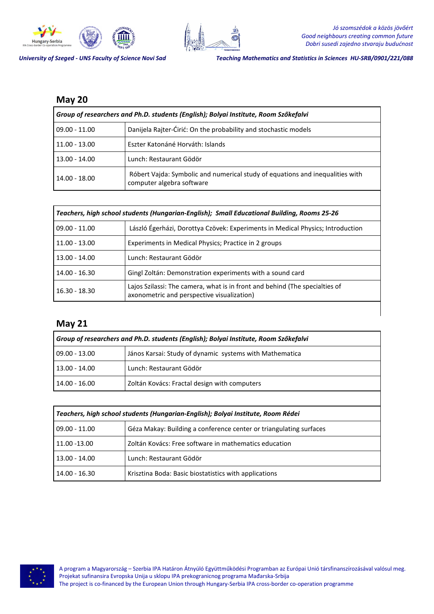





*University of Szeged - UNS Faculty of Science Novi Sad Teaching Mathematics and Statistics in Sciences HU-SRB/0901/221/088*

### **May 20**

| Group of researchers and Ph.D. students (English); Bolyai Institute, Room Szőkefalvi |                                                                                                            |
|--------------------------------------------------------------------------------------|------------------------------------------------------------------------------------------------------------|
| $09.00 - 11.00$                                                                      | Danijela Rajter-Ćirić: On the probability and stochastic models                                            |
| 11.00 - 13.00                                                                        | Eszter Katonáné Horváth: Islands                                                                           |
| 13.00 - 14.00                                                                        | Lunch: Restaurant Gödör                                                                                    |
| $14.00 - 18.00$                                                                      | Róbert Vajda: Symbolic and numerical study of equations and inequalities with<br>computer algebra software |

| Teachers, high school students (Hungarian-English); Small Educational Building, Rooms 25-26 |                                                                                                                           |
|---------------------------------------------------------------------------------------------|---------------------------------------------------------------------------------------------------------------------------|
| $09.00 - 11.00$                                                                             | László Égerházi, Dorottya Czövek: Experiments in Medical Physics; Introduction                                            |
| $11.00 - 13.00$                                                                             | Experiments in Medical Physics; Practice in 2 groups                                                                      |
| $13.00 - 14.00$                                                                             | Lunch: Restaurant Gödör                                                                                                   |
| $14.00 - 16.30$                                                                             | Gingl Zoltán: Demonstration experiments with a sound card                                                                 |
| $16.30 - 18.30$                                                                             | Lajos Szilassi: The camera, what is in front and behind (The specialties of<br>axonometric and perspective visualization) |

#### **May 21**

| Group of researchers and Ph.D. students (English); Bolyai Institute, Room Szőkefalvi |                                                         |
|--------------------------------------------------------------------------------------|---------------------------------------------------------|
| $09.00 - 13.00$                                                                      | János Karsai: Study of dynamic systems with Mathematica |
| $13.00 - 14.00$                                                                      | Lunch: Restaurant Gödör                                 |
| 14.00 - 16.00                                                                        | Zoltán Kovács: Fractal design with computers            |

| Teachers, high school students (Hungarian-English); Bolyai Institute, Room Rédei |                                                                    |
|----------------------------------------------------------------------------------|--------------------------------------------------------------------|
| $09.00 - 11.00$                                                                  | Géza Makay: Building a conference center or triangulating surfaces |
| 11.00 -13.00                                                                     | Zoltán Kovács: Free software in mathematics education              |
| 13.00 - 14.00                                                                    | Lunch: Restaurant Gödör                                            |
| 14.00 - 16.30                                                                    | Krisztina Boda: Basic biostatistics with applications              |